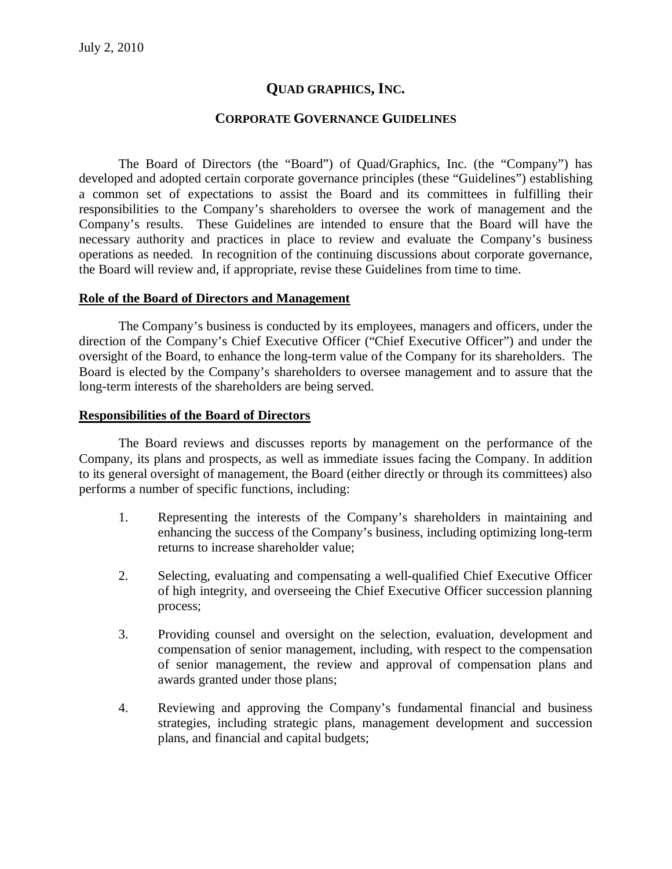# **QUAD GRAPHICS, INC.**

# **CORPORATE GOVERNANCE GUIDELINES**

The Board of Directors (the "Board") of Quad/Graphics, Inc. (the "Company") has developed and adopted certain corporate governance principles (these "Guidelines") establishing a common set of expectations to assist the Board and its committees in fulfilling their responsibilities to the Company's shareholders to oversee the work of management and the Company's results. These Guidelines are intended to ensure that the Board will have the necessary authority and practices in place to review and evaluate the Company's business operations as needed. In recognition of the continuing discussions about corporate governance, the Board will review and, if appropriate, revise these Guidelines from time to time.

### **Role of the Board of Directors and Management**

The Company's business is conducted by its employees, managers and officers, under the direction of the Company's Chief Executive Officer ("Chief Executive Officer") and under the oversight of the Board, to enhance the long-term value of the Company for its shareholders. The Board is elected by the Company's shareholders to oversee management and to assure that the long-term interests of the shareholders are being served.

### **Responsibilities of the Board of Directors**

The Board reviews and discusses reports by management on the performance of the Company, its plans and prospects, as well as immediate issues facing the Company. In addition to its general oversight of management, the Board (either directly or through its committees) also performs a number of specific functions, including:

- 1. Representing the interests of the Company's shareholders in maintaining and enhancing the success of the Company's business, including optimizing long-term returns to increase shareholder value;
- 2. Selecting, evaluating and compensating a well-qualified Chief Executive Officer of high integrity, and overseeing the Chief Executive Officer succession planning process;
- 3. Providing counsel and oversight on the selection, evaluation, development and compensation of senior management, including, with respect to the compensation of senior management, the review and approval of compensation plans and awards granted under those plans;
- 4. Reviewing and approving the Company's fundamental financial and business strategies, including strategic plans, management development and succession plans, and financial and capital budgets;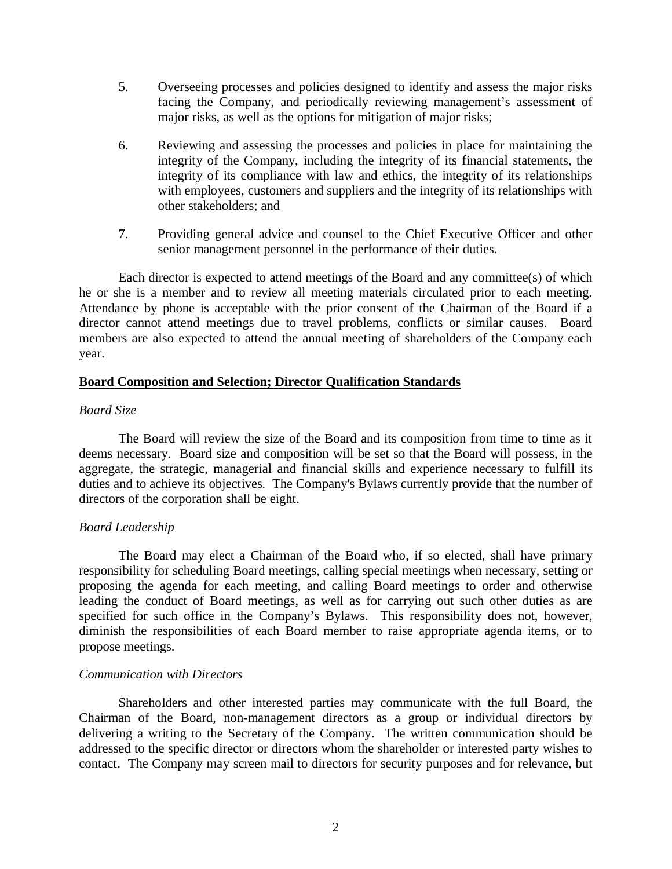- 5. Overseeing processes and policies designed to identify and assess the major risks facing the Company, and periodically reviewing management's assessment of major risks, as well as the options for mitigation of major risks;
- 6. Reviewing and assessing the processes and policies in place for maintaining the integrity of the Company, including the integrity of its financial statements, the integrity of its compliance with law and ethics, the integrity of its relationships with employees, customers and suppliers and the integrity of its relationships with other stakeholders; and
- 7. Providing general advice and counsel to the Chief Executive Officer and other senior management personnel in the performance of their duties.

Each director is expected to attend meetings of the Board and any committee(s) of which he or she is a member and to review all meeting materials circulated prior to each meeting. Attendance by phone is acceptable with the prior consent of the Chairman of the Board if a director cannot attend meetings due to travel problems, conflicts or similar causes. Board members are also expected to attend the annual meeting of shareholders of the Company each year.

# **Board Composition and Selection; Director Qualification Standards**

# *Board Size*

The Board will review the size of the Board and its composition from time to time as it deems necessary. Board size and composition will be set so that the Board will possess, in the aggregate, the strategic, managerial and financial skills and experience necessary to fulfill its duties and to achieve its objectives. The Company's Bylaws currently provide that the number of directors of the corporation shall be eight.

# *Board Leadership*

The Board may elect a Chairman of the Board who, if so elected, shall have primary responsibility for scheduling Board meetings, calling special meetings when necessary, setting or proposing the agenda for each meeting, and calling Board meetings to order and otherwise leading the conduct of Board meetings, as well as for carrying out such other duties as are specified for such office in the Company's Bylaws. This responsibility does not, however, diminish the responsibilities of each Board member to raise appropriate agenda items, or to propose meetings.

# *Communication with Directors*

Shareholders and other interested parties may communicate with the full Board, the Chairman of the Board, non-management directors as a group or individual directors by delivering a writing to the Secretary of the Company. The written communication should be addressed to the specific director or directors whom the shareholder or interested party wishes to contact. The Company may screen mail to directors for security purposes and for relevance, but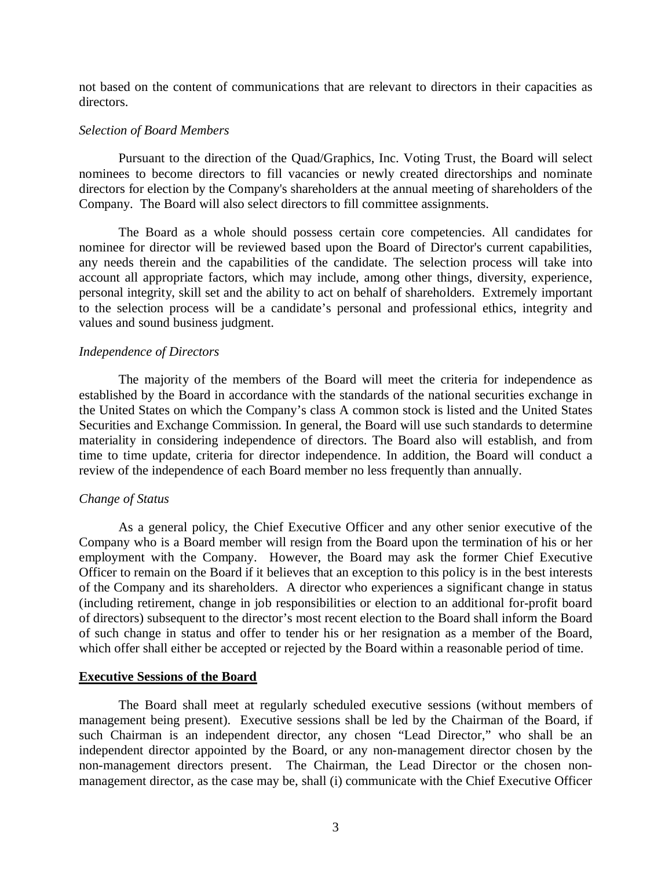not based on the content of communications that are relevant to directors in their capacities as directors.

#### *Selection of Board Members*

Pursuant to the direction of the Quad/Graphics, Inc. Voting Trust, the Board will select nominees to become directors to fill vacancies or newly created directorships and nominate directors for election by the Company's shareholders at the annual meeting of shareholders of the Company. The Board will also select directors to fill committee assignments.

The Board as a whole should possess certain core competencies. All candidates for nominee for director will be reviewed based upon the Board of Director's current capabilities, any needs therein and the capabilities of the candidate. The selection process will take into account all appropriate factors, which may include, among other things, diversity, experience, personal integrity, skill set and the ability to act on behalf of shareholders. Extremely important to the selection process will be a candidate's personal and professional ethics, integrity and values and sound business judgment.

#### *Independence of Directors*

The majority of the members of the Board will meet the criteria for independence as established by the Board in accordance with the standards of the national securities exchange in the United States on which the Company's class A common stock is listed and the United States Securities and Exchange Commission. In general, the Board will use such standards to determine materiality in considering independence of directors. The Board also will establish, and from time to time update, criteria for director independence. In addition, the Board will conduct a review of the independence of each Board member no less frequently than annually.

#### *Change of Status*

As a general policy, the Chief Executive Officer and any other senior executive of the Company who is a Board member will resign from the Board upon the termination of his or her employment with the Company. However, the Board may ask the former Chief Executive Officer to remain on the Board if it believes that an exception to this policy is in the best interests of the Company and its shareholders. A director who experiences a significant change in status (including retirement, change in job responsibilities or election to an additional for-profit board of directors) subsequent to the director's most recent election to the Board shall inform the Board of such change in status and offer to tender his or her resignation as a member of the Board, which offer shall either be accepted or rejected by the Board within a reasonable period of time.

#### **Executive Sessions of the Board**

The Board shall meet at regularly scheduled executive sessions (without members of management being present). Executive sessions shall be led by the Chairman of the Board, if such Chairman is an independent director, any chosen "Lead Director," who shall be an independent director appointed by the Board, or any non-management director chosen by the non-management directors present. The Chairman, the Lead Director or the chosen nonmanagement director, as the case may be, shall (i) communicate with the Chief Executive Officer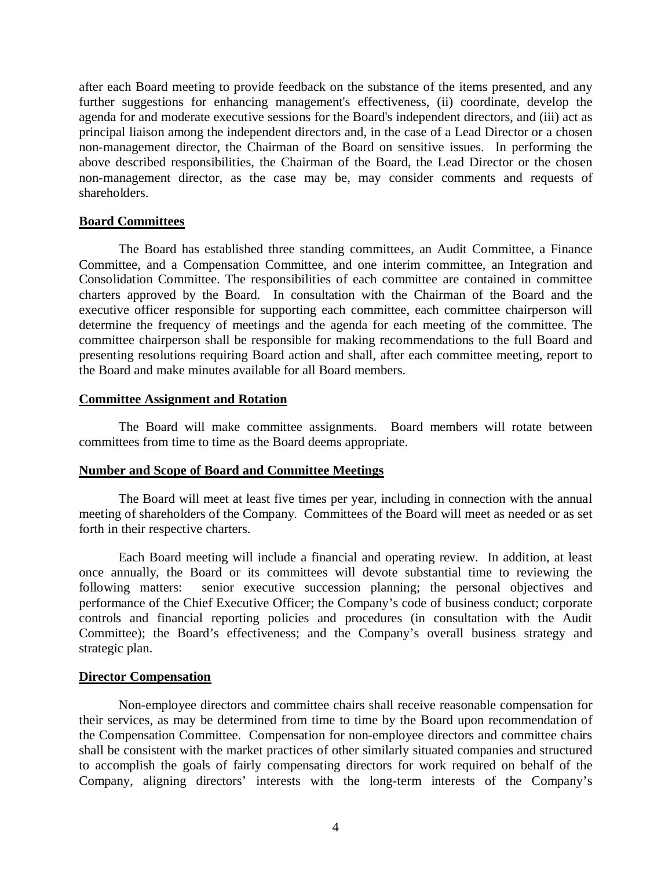after each Board meeting to provide feedback on the substance of the items presented, and any further suggestions for enhancing management's effectiveness, (ii) coordinate, develop the agenda for and moderate executive sessions for the Board's independent directors, and (iii) act as principal liaison among the independent directors and, in the case of a Lead Director or a chosen non-management director, the Chairman of the Board on sensitive issues. In performing the above described responsibilities, the Chairman of the Board, the Lead Director or the chosen non-management director, as the case may be, may consider comments and requests of shareholders.

# **Board Committees**

The Board has established three standing committees, an Audit Committee, a Finance Committee, and a Compensation Committee, and one interim committee, an Integration and Consolidation Committee. The responsibilities of each committee are contained in committee charters approved by the Board. In consultation with the Chairman of the Board and the executive officer responsible for supporting each committee, each committee chairperson will determine the frequency of meetings and the agenda for each meeting of the committee. The committee chairperson shall be responsible for making recommendations to the full Board and presenting resolutions requiring Board action and shall, after each committee meeting, report to the Board and make minutes available for all Board members.

### **Committee Assignment and Rotation**

The Board will make committee assignments. Board members will rotate between committees from time to time as the Board deems appropriate.

# **Number and Scope of Board and Committee Meetings**

The Board will meet at least five times per year, including in connection with the annual meeting of shareholders of the Company. Committees of the Board will meet as needed or as set forth in their respective charters.

Each Board meeting will include a financial and operating review. In addition, at least once annually, the Board or its committees will devote substantial time to reviewing the following matters: senior executive succession planning; the personal objectives and performance of the Chief Executive Officer; the Company's code of business conduct; corporate controls and financial reporting policies and procedures (in consultation with the Audit Committee); the Board's effectiveness; and the Company's overall business strategy and strategic plan.

### **Director Compensation**

Non-employee directors and committee chairs shall receive reasonable compensation for their services, as may be determined from time to time by the Board upon recommendation of the Compensation Committee. Compensation for non-employee directors and committee chairs shall be consistent with the market practices of other similarly situated companies and structured to accomplish the goals of fairly compensating directors for work required on behalf of the Company, aligning directors' interests with the long-term interests of the Company's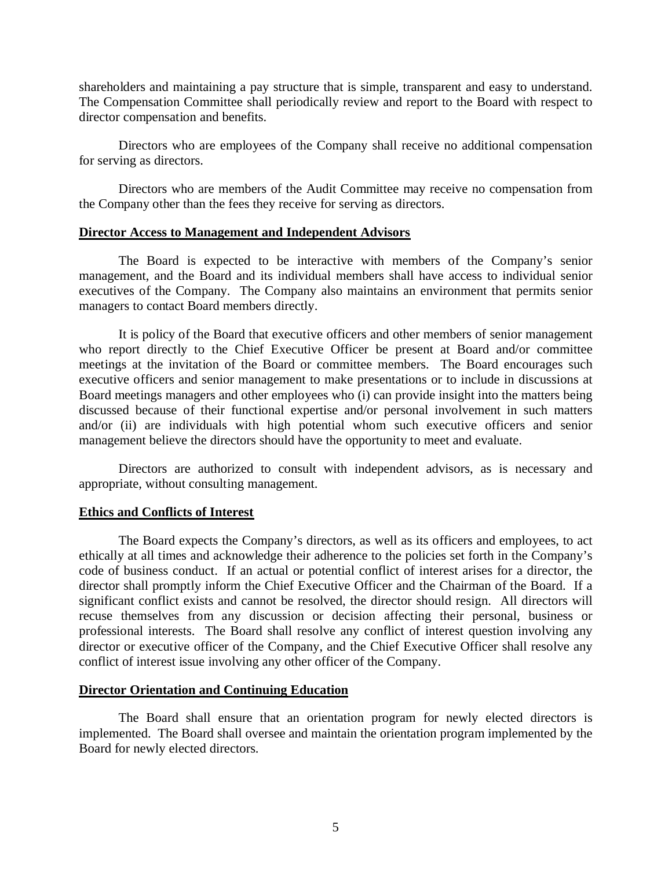shareholders and maintaining a pay structure that is simple, transparent and easy to understand. The Compensation Committee shall periodically review and report to the Board with respect to director compensation and benefits.

Directors who are employees of the Company shall receive no additional compensation for serving as directors.

Directors who are members of the Audit Committee may receive no compensation from the Company other than the fees they receive for serving as directors.

#### **Director Access to Management and Independent Advisors**

The Board is expected to be interactive with members of the Company's senior management, and the Board and its individual members shall have access to individual senior executives of the Company. The Company also maintains an environment that permits senior managers to contact Board members directly.

It is policy of the Board that executive officers and other members of senior management who report directly to the Chief Executive Officer be present at Board and/or committee meetings at the invitation of the Board or committee members. The Board encourages such executive officers and senior management to make presentations or to include in discussions at Board meetings managers and other employees who (i) can provide insight into the matters being discussed because of their functional expertise and/or personal involvement in such matters and/or (ii) are individuals with high potential whom such executive officers and senior management believe the directors should have the opportunity to meet and evaluate.

Directors are authorized to consult with independent advisors, as is necessary and appropriate, without consulting management.

### **Ethics and Conflicts of Interest**

The Board expects the Company's directors, as well as its officers and employees, to act ethically at all times and acknowledge their adherence to the policies set forth in the Company's code of business conduct. If an actual or potential conflict of interest arises for a director, the director shall promptly inform the Chief Executive Officer and the Chairman of the Board. If a significant conflict exists and cannot be resolved, the director should resign. All directors will recuse themselves from any discussion or decision affecting their personal, business or professional interests. The Board shall resolve any conflict of interest question involving any director or executive officer of the Company, and the Chief Executive Officer shall resolve any conflict of interest issue involving any other officer of the Company.

#### **Director Orientation and Continuing Education**

The Board shall ensure that an orientation program for newly elected directors is implemented. The Board shall oversee and maintain the orientation program implemented by the Board for newly elected directors.